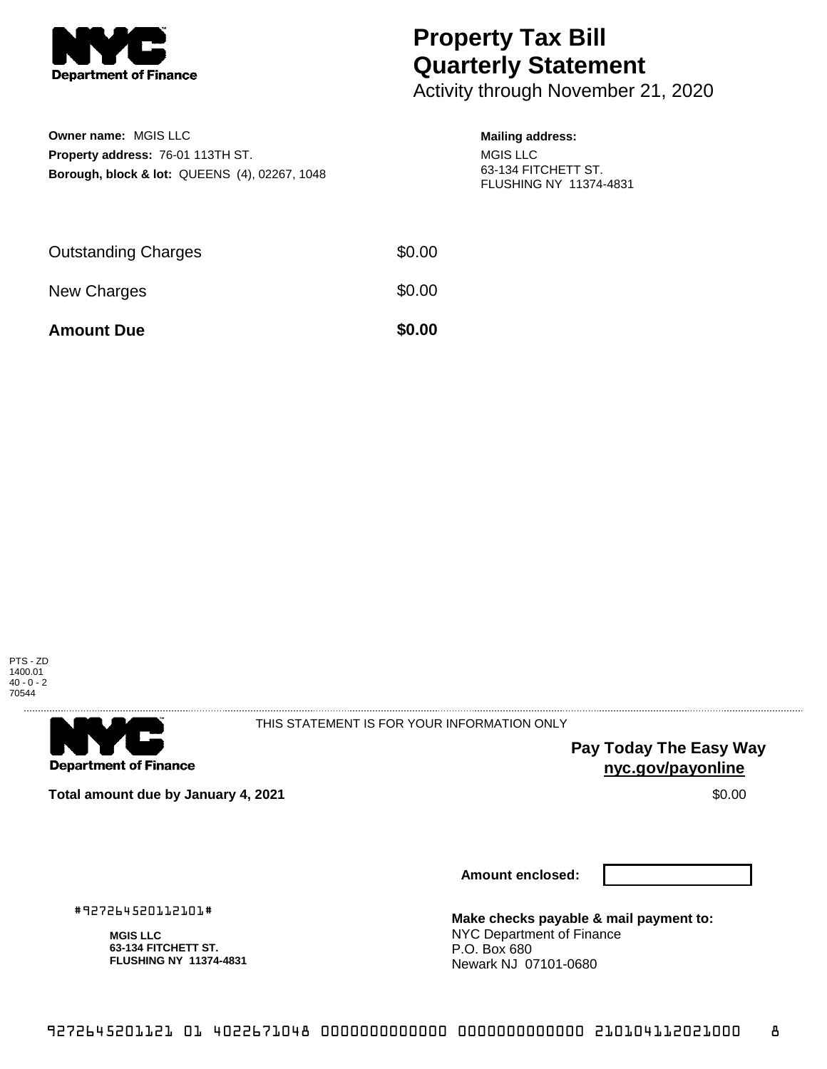

**Owner name:** MGIS LLC

**Property address:** 76-01 113TH ST.

**Borough, block & lot:** QUEENS (4), 02267, 1048

## **Property Tax Bill Quarterly Statement**

Activity through November 21, 2020

## **Mailing address:**

MGIS LLC 63-134 FITCHETT ST. FLUSHING NY 11374-4831

| <b>Amount Due</b>          | \$0.00 |
|----------------------------|--------|
| New Charges                | \$0.00 |
| <b>Outstanding Charges</b> | \$0.00 |





THIS STATEMENT IS FOR YOUR INFORMATION ONLY

**Pay Today The Easy Way nyc.gov/payonline**

**Total amount due by January 4, 2021** \$0.00

**Amount enclosed:**

#927264520112101#

**MGIS LLC 63-134 FITCHETT ST. FLUSHING NY 11374-4831** **Make checks payable & mail payment to:** NYC Department of Finance P.O. Box 680 Newark NJ 07101-0680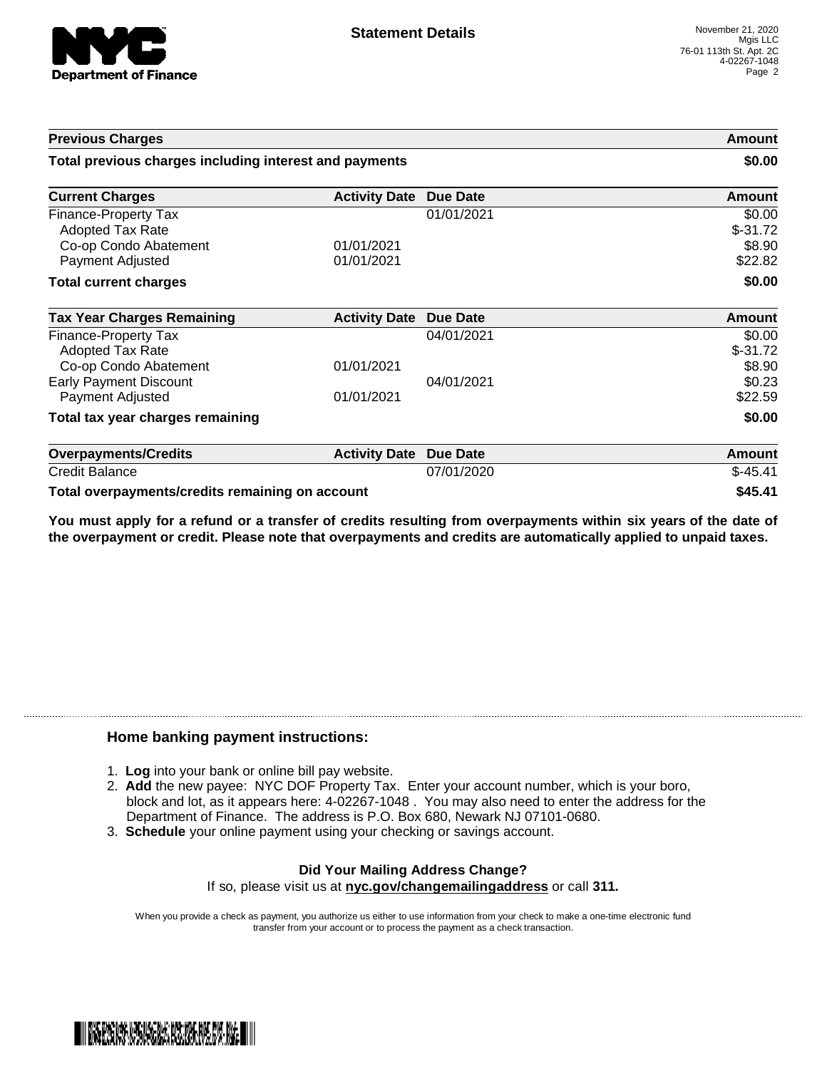

| <b>Previous Charges</b>                                                                      |                          | Amount<br>\$0.00 |                                          |
|----------------------------------------------------------------------------------------------|--------------------------|------------------|------------------------------------------|
| Total previous charges including interest and payments                                       |                          |                  |                                          |
| <b>Current Charges</b>                                                                       | <b>Activity Date</b>     | Due Date         | Amount                                   |
| Finance-Property Tax<br><b>Adopted Tax Rate</b><br>Co-op Condo Abatement<br>Payment Adjusted | 01/01/2021<br>01/01/2021 | 01/01/2021       | \$0.00<br>$$-31.72$<br>\$8.90<br>\$22.82 |
| <b>Total current charges</b>                                                                 |                          |                  | \$0.00                                   |
| <b>Tax Year Charges Remaining</b>                                                            | <b>Activity Date</b>     | <b>Due Date</b>  | <b>Amount</b>                            |
| Finance-Property Tax<br>Adopted Tax Rate<br>Co-op Condo Abatement                            | 01/01/2021               | 04/01/2021       | \$0.00<br>$$-31.72$<br>\$8.90            |
| <b>Early Payment Discount</b><br>Payment Adjusted                                            | 01/01/2021               | 04/01/2021       | \$0.23<br>\$22.59                        |
| Total tax year charges remaining                                                             |                          |                  | \$0.00                                   |
| <b>Overpayments/Credits</b>                                                                  | <b>Activity Date</b>     | <b>Due Date</b>  | <b>Amount</b>                            |
| <b>Credit Balance</b>                                                                        |                          | 07/01/2020       | $$-45.41$                                |
| Total overpayments/credits remaining on account                                              |                          |                  | \$45.41                                  |

You must apply for a refund or a transfer of credits resulting from overpayments within six years of the date of **the overpayment or credit. Please note that overpayments and credits are automatically applied to unpaid taxes.**

## **Home banking payment instructions:**

- 1. **Log** into your bank or online bill pay website.
- 2. **Add** the new payee: NYC DOF Property Tax. Enter your account number, which is your boro, block and lot, as it appears here: 4-02267-1048 . You may also need to enter the address for the Department of Finance. The address is P.O. Box 680, Newark NJ 07101-0680.
- 3. **Schedule** your online payment using your checking or savings account.

## **Did Your Mailing Address Change?** If so, please visit us at **nyc.gov/changemailingaddress** or call **311.**

When you provide a check as payment, you authorize us either to use information from your check to make a one-time electronic fund

transfer from your account or to process the payment as a check transaction.